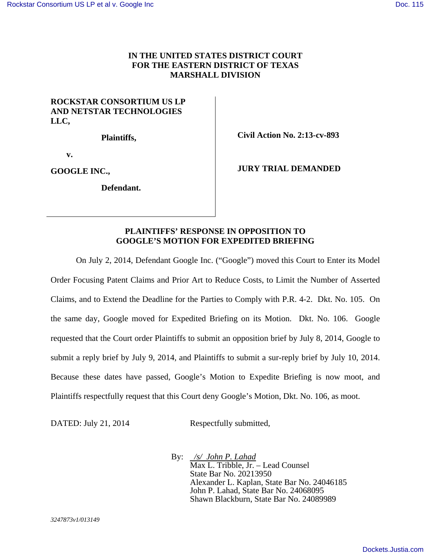## **IN THE UNITED STATES DISTRICT COURT FOR THE EASTERN DISTRICT OF TEXAS MARSHALL DIVISION**

## **ROCKSTAR CONSORTIUM US LP AND NETSTAR TECHNOLOGIES LLC,**

 **Plaintiffs,** 

 **Civil Action No. 2:13-cv-893** 

 **v.** 

**GOOGLE INC.,** 

 **Defendant.** 

 **JURY TRIAL DEMANDED** 

#### **PLAINTIFFS' RESPONSE IN OPPOSITION TO GOOGLE'S MOTION FOR EXPEDITED BRIEFING**

 On July 2, 2014, Defendant Google Inc. ("Google") moved this Court to Enter its Model Order Focusing Patent Claims and Prior Art to Reduce Costs, to Limit the Number of Asserted Claims, and to Extend the Deadline for the Parties to Comply with P.R. 4-2. Dkt. No. 105. On the same day, Google moved for Expedited Briefing on its Motion. Dkt. No. 106. Google requested that the Court order Plaintiffs to submit an opposition brief by July 8, 2014, Google to submit a reply brief by July 9, 2014, and Plaintiffs to submit a sur-reply brief by July 10, 2014. Because these dates have passed, Google's Motion to Expedite Briefing is now moot, and Plaintiffs respectfully request that this Court deny Google's Motion, Dkt. No. 106, as moot.

DATED: July 21, 2014 Respectfully submitted,

By: */s/ John P. Lahad* Max L. Tribble, Jr. – Lead Counsel State Bar No. 20213950 Alexander L. Kaplan, State Bar No. 24046185 John P. Lahad, State Bar No. 24068095 Shawn Blackburn, State Bar No. 24089989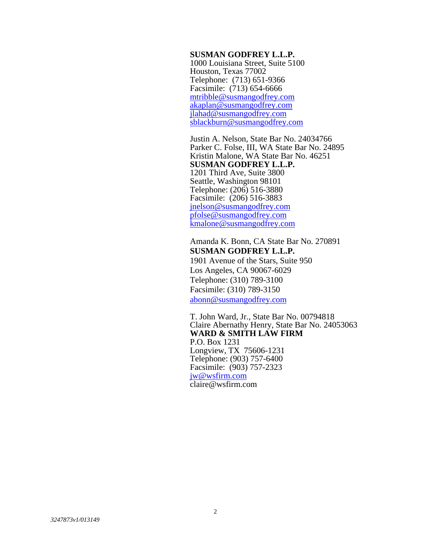#### **SUSMAN GODFREY L.L.P.**

1000 Louisiana Street, Suite 5100 Houston, Texas 77002 Telephone: (713) 651-9366 Facsimile: (713) 654-6666 mtribble@susmangodfrey.com akaplan@susmangodfrey.com jlahad@susmangodfrey.com sblackburn@susmangodfrey.com

Justin A. Nelson, State Bar No. 24034766 Parker C. Folse, III, WA State Bar No. 24895 Kristin Malone, WA State Bar No. 46251 **SUSMAN GODFREY L.L.P.**  1201 Third Ave, Suite 3800 Seattle, Washington 98101 Telephone: (206) 516-3880 Facsimile: (206) 516-3883 jnelson@susmangodfrey.com<br>pfolse@susmangodfrey.com kmalone@susmangodfrey.com

# Amanda K. Bonn, CA State Bar No. 270891 **SUSMAN GODFREY L.L.P.**

1901 Avenue of the Stars, Suite 950 Los Angeles, CA 90067-6029 Telephone: (310) 789-3100 Facsimile: (310) 789-3150 abonn@susmangodfrey.com

T. John Ward, Jr., State Bar No. 00794818 Claire Abernathy Henry, State Bar No. 24053063 **WARD & SMITH LAW FIRM**  P.O. Box 1231 Longview, TX 75606-1231 Telephone: (903) 757-6400 Facsimile: (903) 757-2323 jw@wsfirm.com claire@wsfirm.com